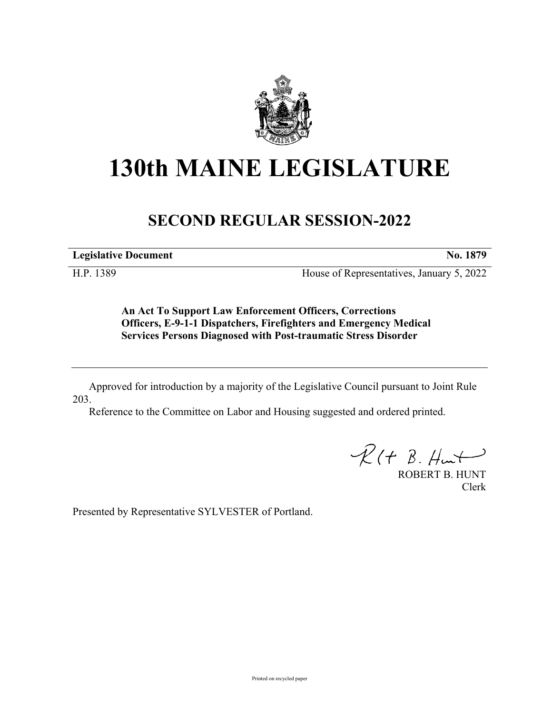

## **130th MAINE LEGISLATURE**

## **SECOND REGULAR SESSION-2022**

**Legislative Document No. 1879**

H.P. 1389 House of Representatives, January 5, 2022

**An Act To Support Law Enforcement Officers, Corrections Officers, E-9-1-1 Dispatchers, Firefighters and Emergency Medical Services Persons Diagnosed with Post-traumatic Stress Disorder**

Approved for introduction by a majority of the Legislative Council pursuant to Joint Rule 203.

Reference to the Committee on Labor and Housing suggested and ordered printed.

 $R(H B. Hmt)$ 

ROBERT B. HUNT Clerk

Presented by Representative SYLVESTER of Portland.